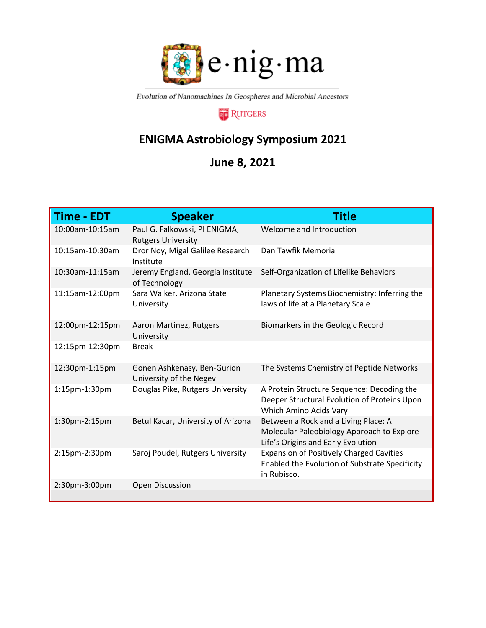

Evolution of Nanomachines In Geospheres and Microbial Ancestors

## **RUTGERS**

## **ENIGMA Astrobiology Symposium 2021**

## **June 8, 2021**

| <b>Time - EDT</b> | <b>Speaker</b>                                             | <b>Title</b>                                                                                                             |
|-------------------|------------------------------------------------------------|--------------------------------------------------------------------------------------------------------------------------|
| 10:00am-10:15am   | Paul G. Falkowski, PI ENIGMA,<br><b>Rutgers University</b> | Welcome and Introduction                                                                                                 |
| 10:15am-10:30am   | Dror Noy, Migal Galilee Research<br>Institute              | Dan Tawfik Memorial                                                                                                      |
| 10:30am-11:15am   | Jeremy England, Georgia Institute<br>of Technology         | Self-Organization of Lifelike Behaviors                                                                                  |
| 11:15am-12:00pm   | Sara Walker, Arizona State<br>University                   | Planetary Systems Biochemistry: Inferring the<br>laws of life at a Planetary Scale                                       |
| 12:00pm-12:15pm   | Aaron Martinez, Rutgers<br>University                      | Biomarkers in the Geologic Record                                                                                        |
| 12:15pm-12:30pm   | <b>Break</b>                                               |                                                                                                                          |
| 12:30pm-1:15pm    | Gonen Ashkenasy, Ben-Gurion<br>University of the Negev     | The Systems Chemistry of Peptide Networks                                                                                |
| 1:15pm-1:30pm     | Douglas Pike, Rutgers University                           | A Protein Structure Sequence: Decoding the<br>Deeper Structural Evolution of Proteins Upon<br>Which Amino Acids Vary     |
| 1:30pm-2:15pm     | Betul Kacar, University of Arizona                         | Between a Rock and a Living Place: A<br>Molecular Paleobiology Approach to Explore<br>Life's Origins and Early Evolution |
| 2:15pm-2:30pm     | Saroj Poudel, Rutgers University                           | <b>Expansion of Positively Charged Cavities</b><br>Enabled the Evolution of Substrate Specificity<br>in Rubisco.         |
| 2:30pm-3:00pm     | <b>Open Discussion</b>                                     |                                                                                                                          |